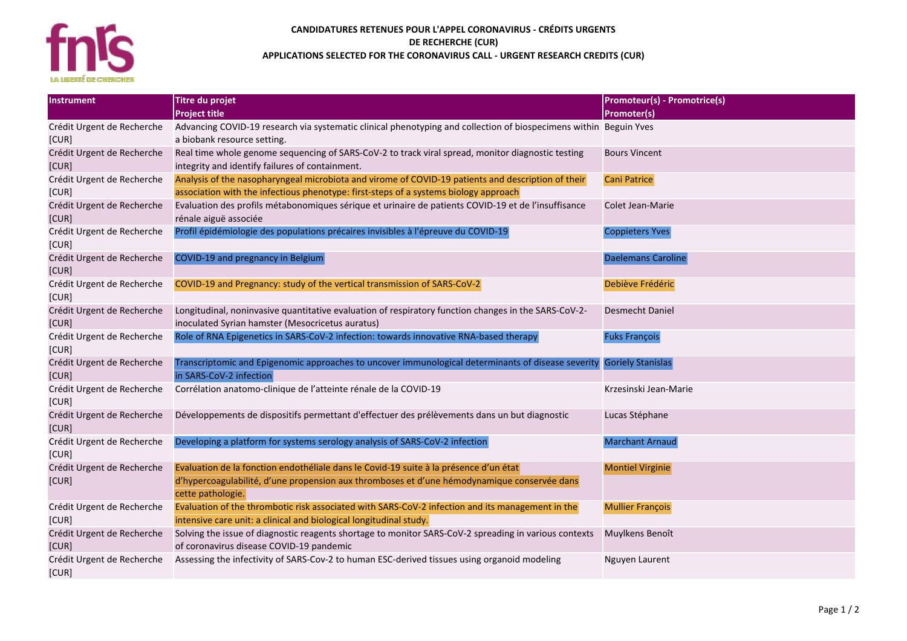

## **CANDIDATURES RETENUES POUR L'APPEL CORONAVIRUS - CRÉDITS URGENTS DE RECHERCHE (CUR) APPLICATIONS SELECTED FOR THE CORONAVIRUS CALL - URGENT RESEARCH CREDITS (CUR)**

| Instrument                          | Titre du projet                                                                                                   | <b>Promoteur(s) - Promotrice(s)</b> |
|-------------------------------------|-------------------------------------------------------------------------------------------------------------------|-------------------------------------|
|                                     | <b>Project title</b>                                                                                              | <b>Promoter(s)</b>                  |
| Crédit Urgent de Recherche          | Advancing COVID-19 research via systematic clinical phenotyping and collection of biospecimens within Beguin Yves |                                     |
| [CUR]                               | a biobank resource setting.                                                                                       |                                     |
| Crédit Urgent de Recherche          | Real time whole genome sequencing of SARS-CoV-2 to track viral spread, monitor diagnostic testing                 | <b>Bours Vincent</b>                |
| [CUR]                               | integrity and identify failures of containment.                                                                   |                                     |
| Crédit Urgent de Recherche          | Analysis of the nasopharyngeal microbiota and virome of COVID-19 patients and description of their                | <b>Cani Patrice</b>                 |
| [CUR]                               | association with the infectious phenotype: first-steps of a systems biology approach                              |                                     |
| Crédit Urgent de Recherche          | Evaluation des profils métabonomiques sérique et urinaire de patients COVID-19 et de l'insuffisance               | Colet Jean-Marie                    |
| [CUR]                               | rénale aiguë associée                                                                                             |                                     |
| Crédit Urgent de Recherche          | Profil épidémiologie des populations précaires invisibles à l'épreuve du COVID-19                                 | <b>Coppieters Yves</b>              |
| [CUR]                               |                                                                                                                   |                                     |
| Crédit Urgent de Recherche          | COVID-19 and pregnancy in Belgium                                                                                 | <b>Daelemans Caroline</b>           |
| [CUR]                               |                                                                                                                   |                                     |
| Crédit Urgent de Recherche          | COVID-19 and Pregnancy: study of the vertical transmission of SARS-CoV-2                                          | Debiève Frédéric                    |
| [CUR]                               |                                                                                                                   |                                     |
| Crédit Urgent de Recherche          | Longitudinal, noninvasive quantitative evaluation of respiratory function changes in the SARS-CoV-2-              | Desmecht Daniel                     |
| [CUR]                               | inoculated Syrian hamster (Mesocricetus auratus)                                                                  |                                     |
| Crédit Urgent de Recherche          | Role of RNA Epigenetics in SARS-CoV-2 infection: towards innovative RNA-based therapy                             | <b>Fuks François</b>                |
| [CUR]                               |                                                                                                                   |                                     |
| Crédit Urgent de Recherche          | Transcriptomic and Epigenomic approaches to uncover immunological determinants of disease severity                | <b>Goriely Stanislas</b>            |
| [CUR]                               | in SARS-CoV-2 infection                                                                                           |                                     |
| Crédit Urgent de Recherche          | Corrélation anatomo-clinique de l'atteinte rénale de la COVID-19                                                  | Krzesinski Jean-Marie               |
| [CUR]                               |                                                                                                                   |                                     |
| Crédit Urgent de Recherche          | Développements de dispositifs permettant d'effectuer des prélèvements dans un but diagnostic                      | Lucas Stéphane                      |
| [CUR]                               |                                                                                                                   |                                     |
| Crédit Urgent de Recherche          | Developing a platform for systems serology analysis of SARS-CoV-2 infection                                       | <b>Marchant Arnaud</b>              |
| [CUR]                               |                                                                                                                   |                                     |
| Crédit Urgent de Recherche          | Evaluation de la fonction endothéliale dans le Covid-19 suite à la présence d'un état                             | <b>Montiel Virginie</b>             |
| [CUR]                               | d'hypercoagulabilité, d'une propension aux thromboses et d'une hémodynamique conservée dans                       |                                     |
|                                     | cette pathologie.                                                                                                 |                                     |
| Crédit Urgent de Recherche          | Evaluation of the thrombotic risk associated with SARS-CoV-2 infection and its management in the                  | <b>Mullier François</b>             |
| [CUR]                               | intensive care unit: a clinical and biological longitudinal study.                                                |                                     |
| Crédit Urgent de Recherche          | Solving the issue of diagnostic reagents shortage to monitor SARS-CoV-2 spreading in various contexts             | Muylkens Benoît                     |
| [CUR]                               | of coronavirus disease COVID-19 pandemic                                                                          |                                     |
| Crédit Urgent de Recherche<br>[CUR] | Assessing the infectivity of SARS-Cov-2 to human ESC-derived tissues using organoid modeling                      | Nguyen Laurent                      |